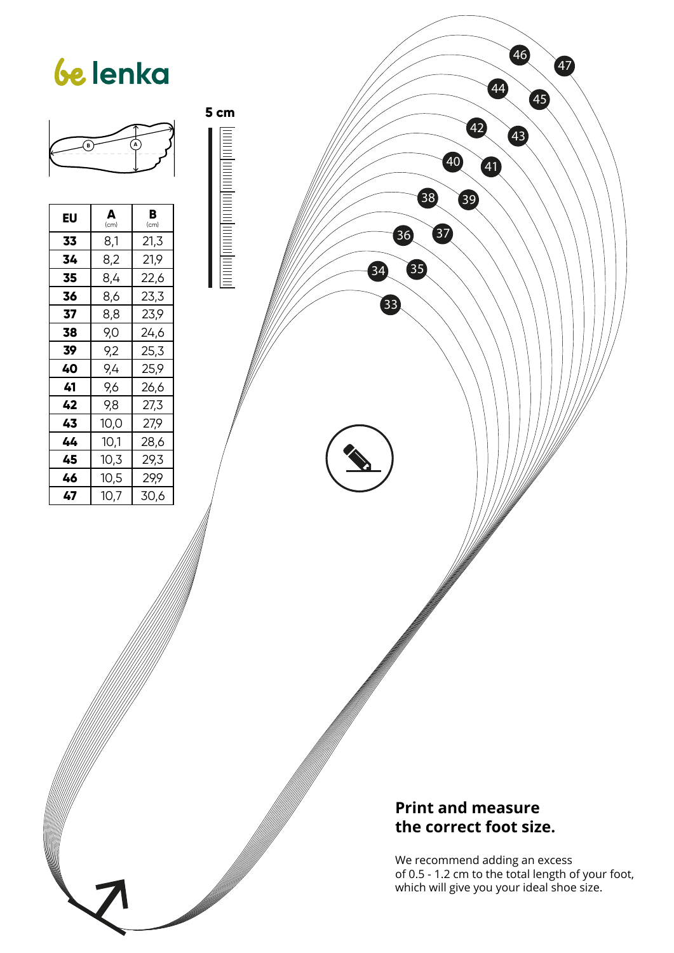



**5 cm**

| EU | Δ<br>(cm) | B<br>(cm) |
|----|-----------|-----------|
| 33 | 8,1       | 21,3      |
| 34 | 8,2       | 21,9      |
| 35 | 8,4       | 22,6      |
| 36 | 8,6       | 23,3      |
| 37 | 8,8       | 23,9      |
| 38 | 9,0       | 24,6      |
| 39 | 9,2       | 25,3      |
| 40 | 9,4       | 25,9      |
| 41 | 9,6       | 26,6      |
| 42 | 9,8       | 27,3      |
| 43 | 10,0      | 27,9      |
| 44 | 10,1      | 28,6      |
| 45 | 10,3      | 29,3      |
| 46 | 10,5      | 29,9      |
| 47 | 10,7      | 30,6      |

#### **Print and measure the correct foot size.**

35

37

39

41

<sup>43</sup>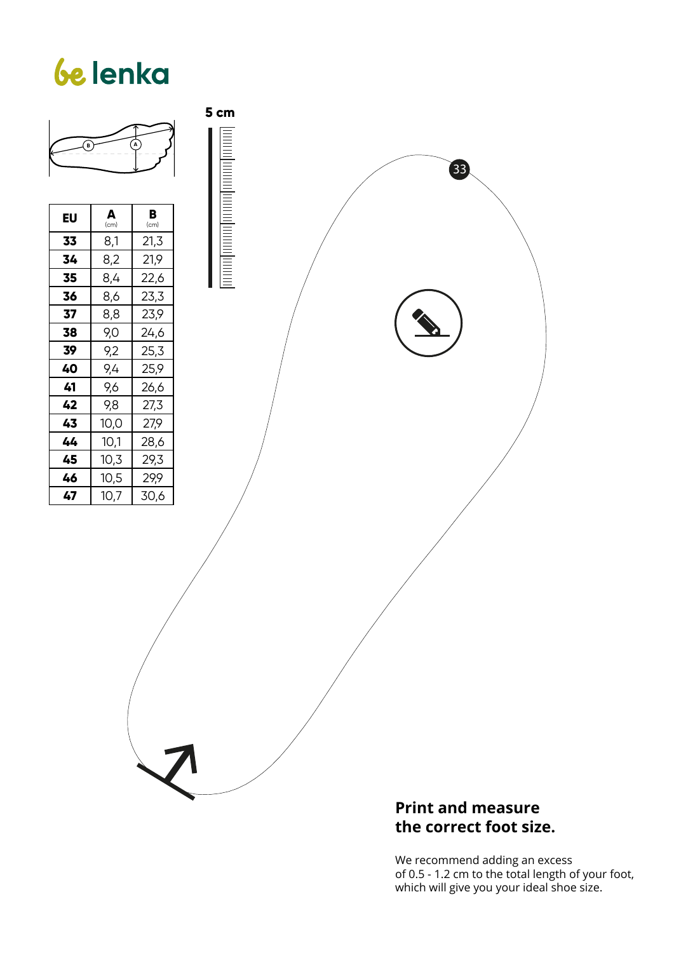

#### **the correct foot size.**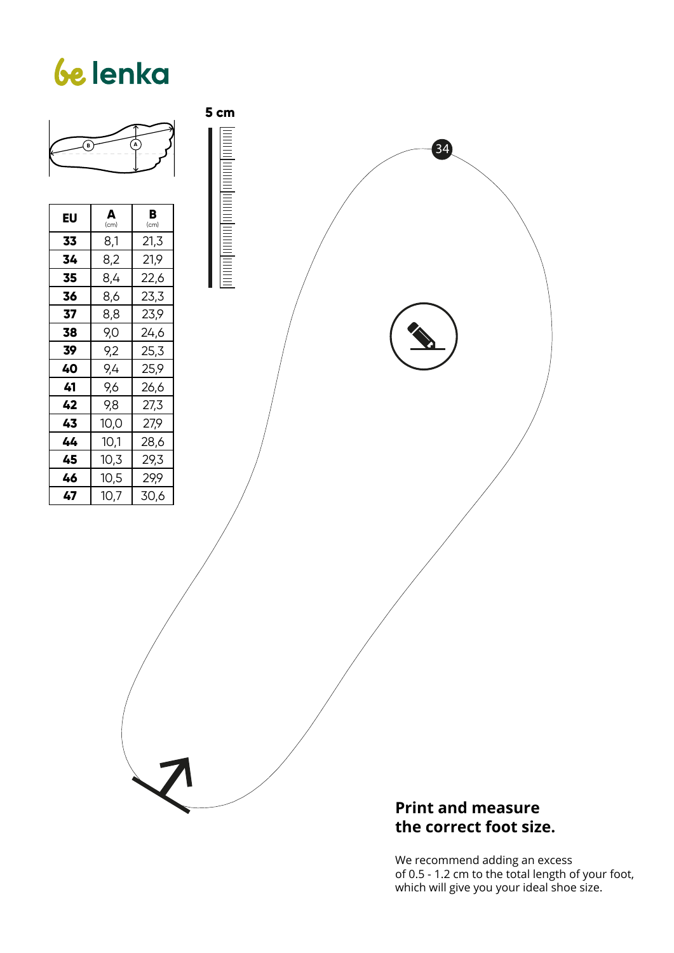

#### **the correct foot size.**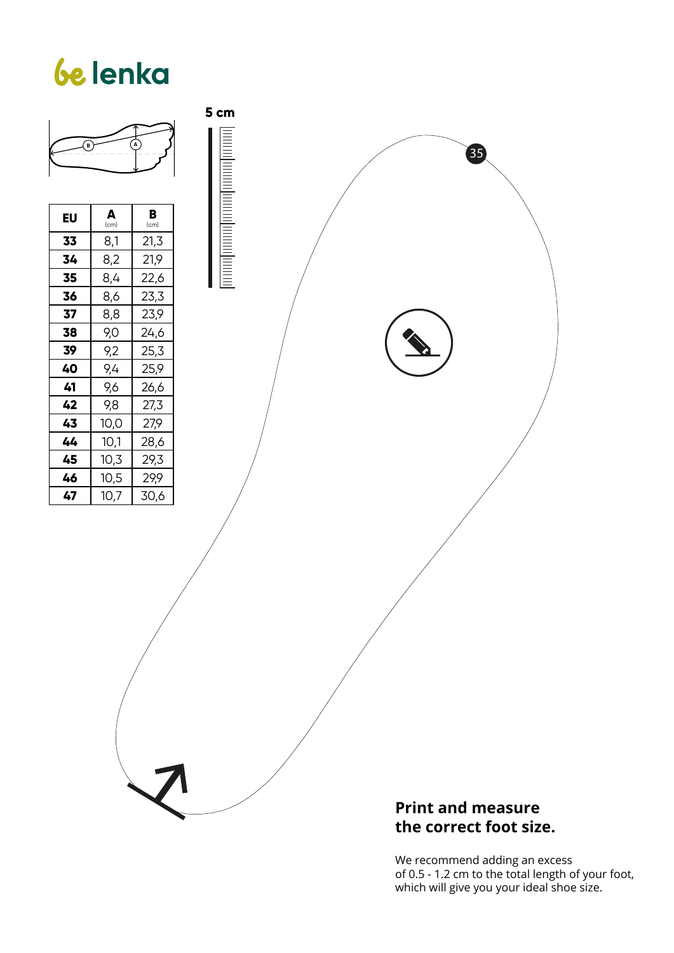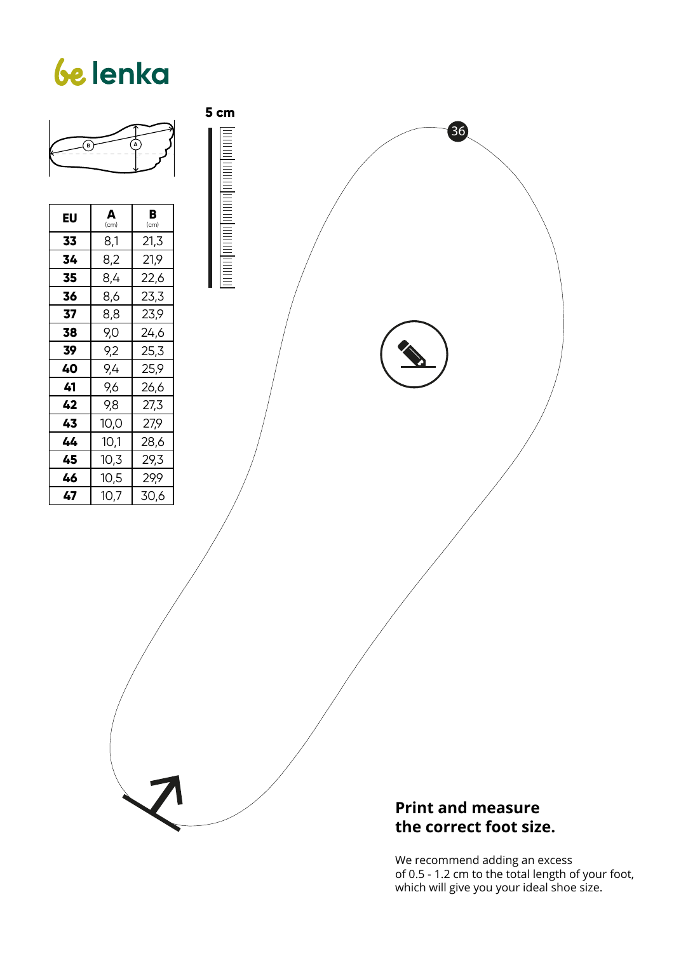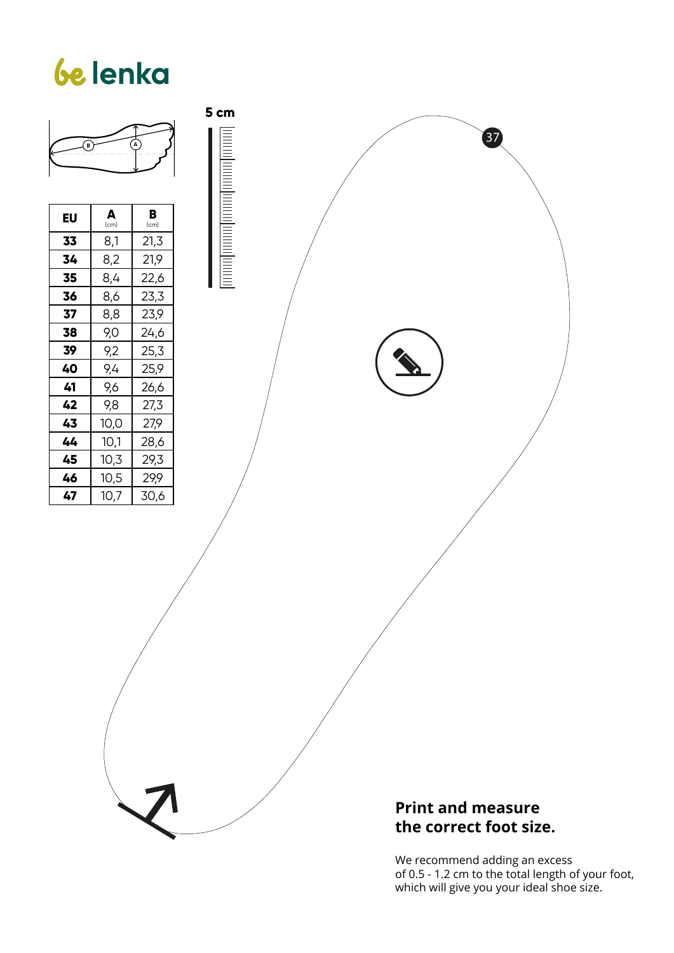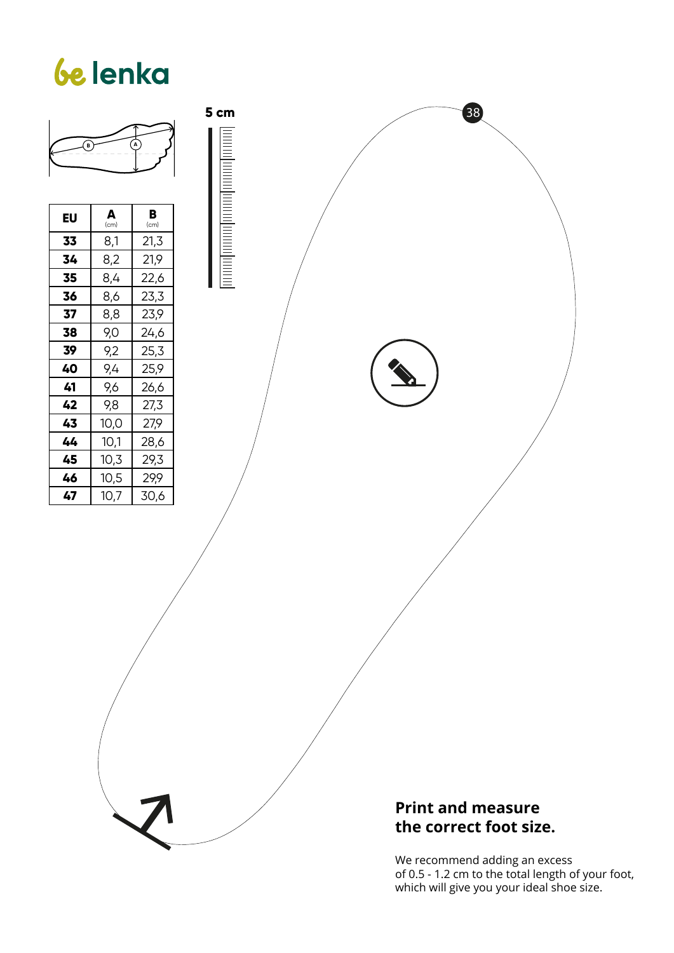

of 0.5 - 1.2 cm to the total length of your foot, which will give you your ideal shoe size.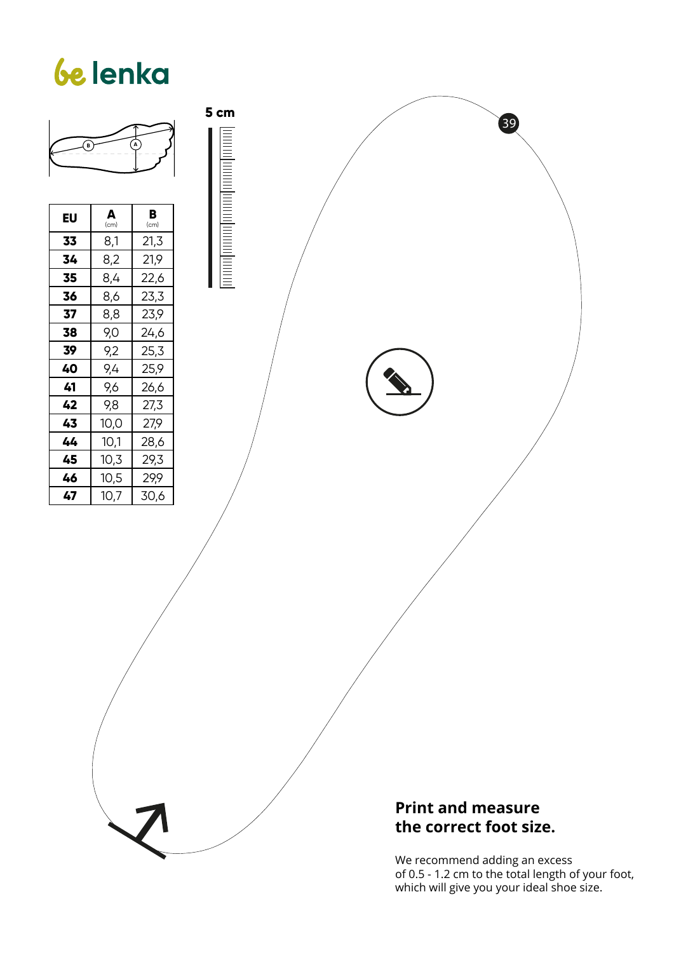

of 0.5 - 1.2 cm to the total length of your foot, which will give you your ideal shoe size.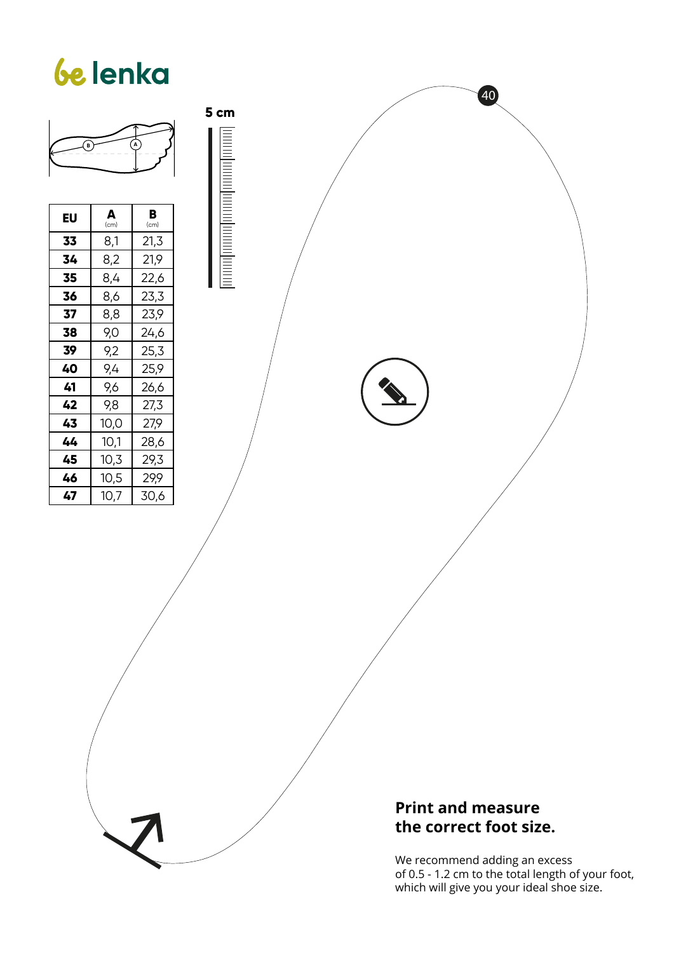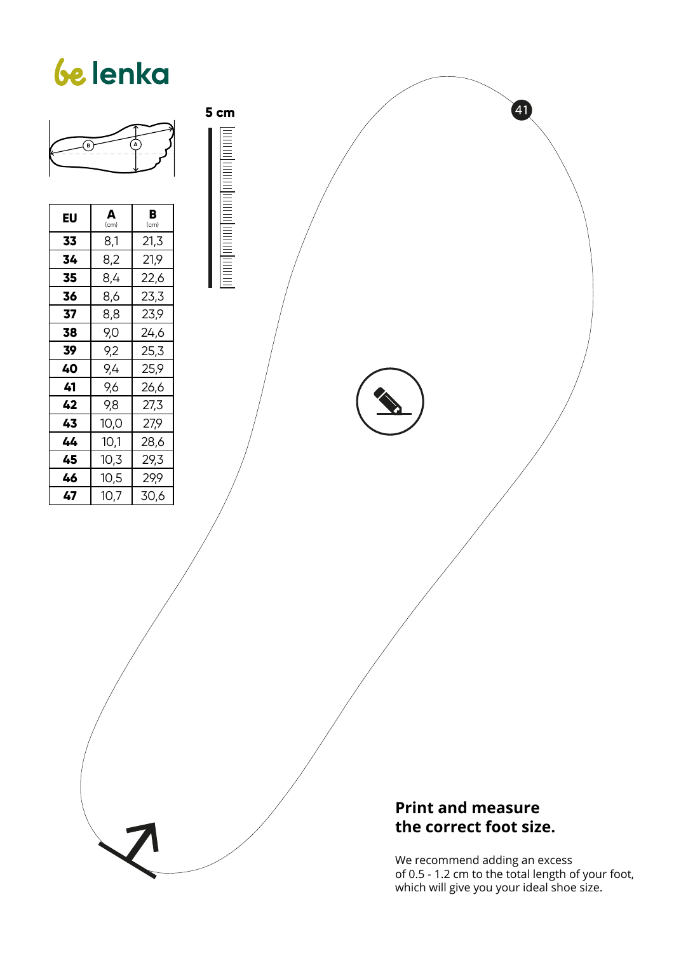

of 0.5 - 1.2 cm to the total length of your foot, which will give you your ideal shoe size.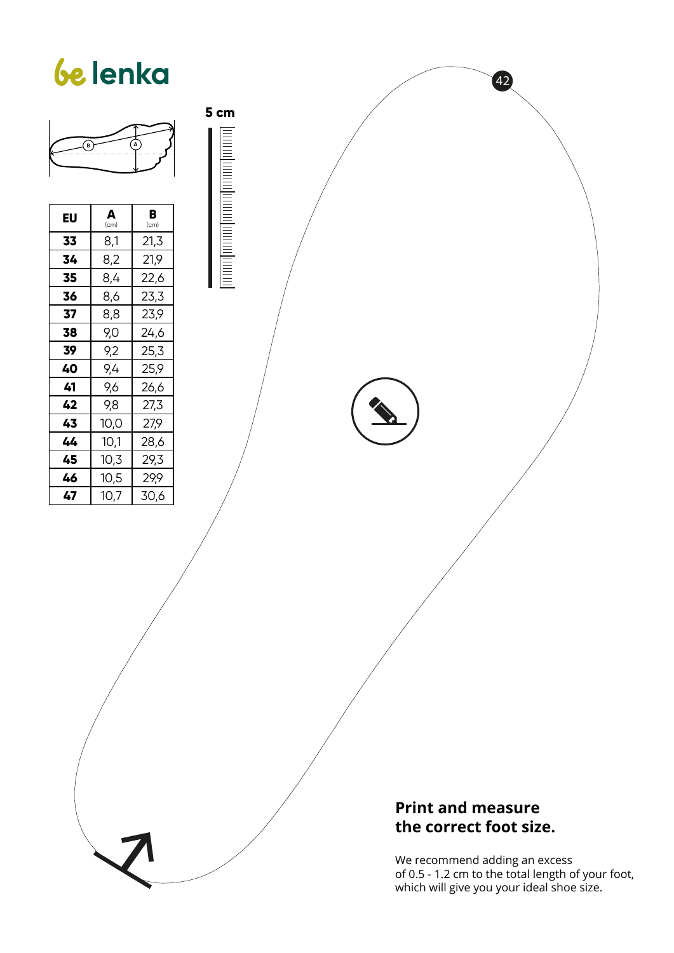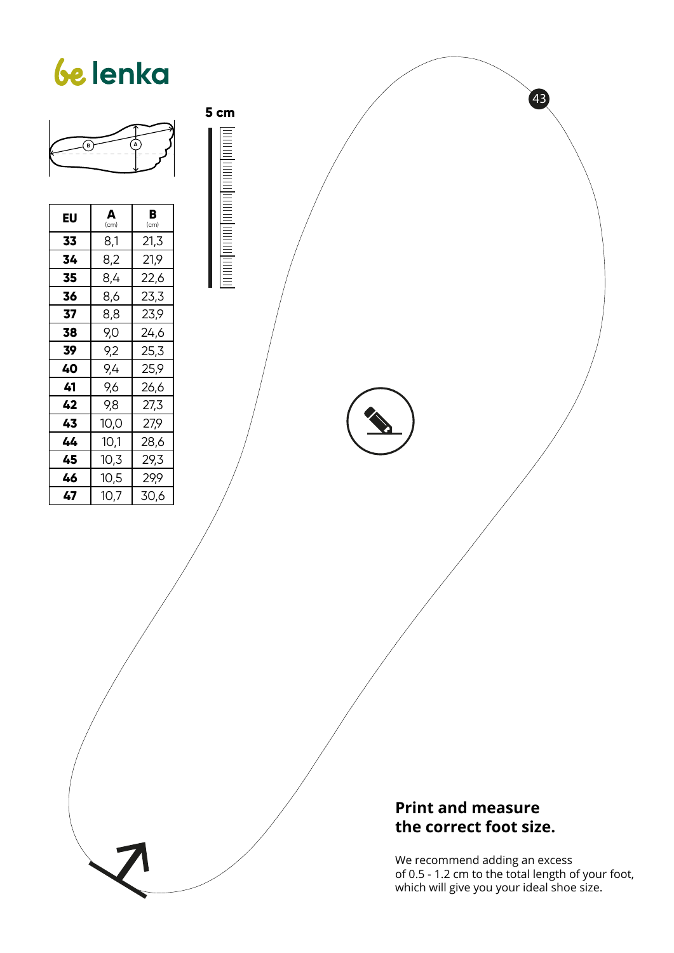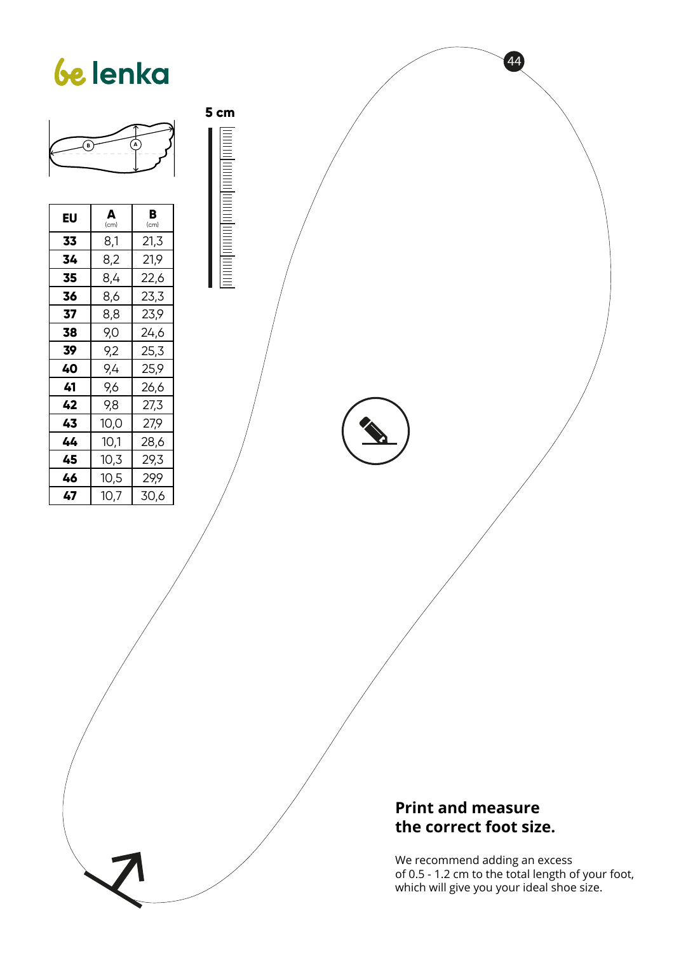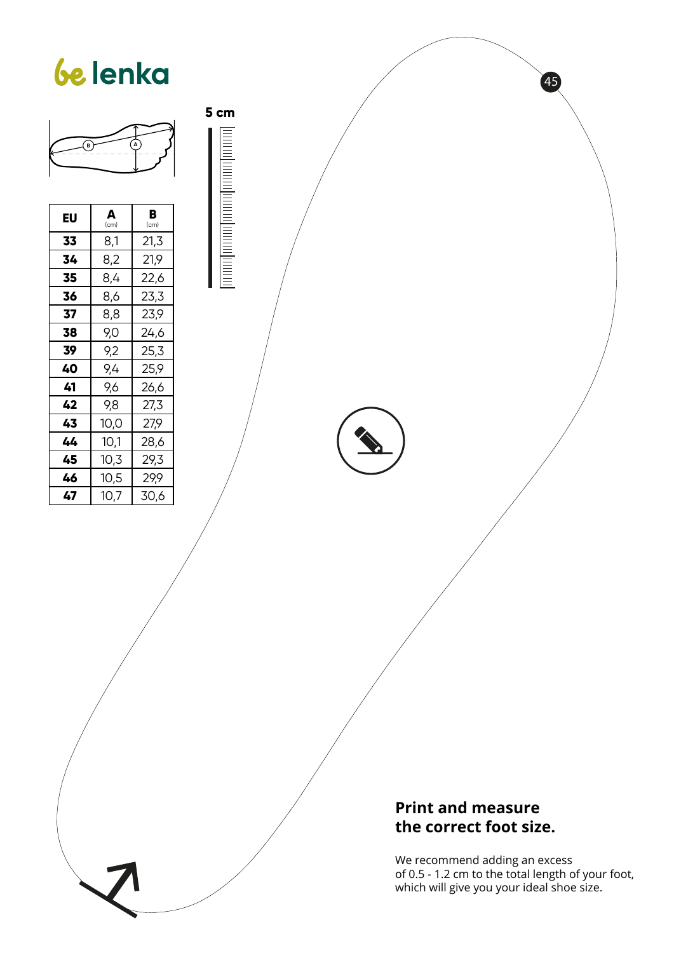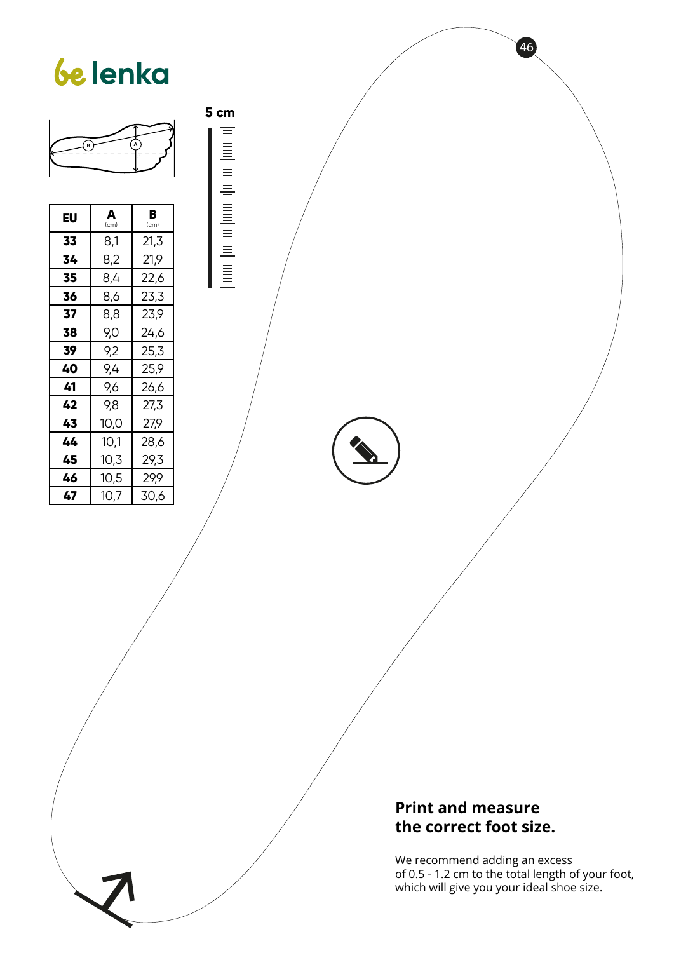

#### **Print and measure the correct foot size.**